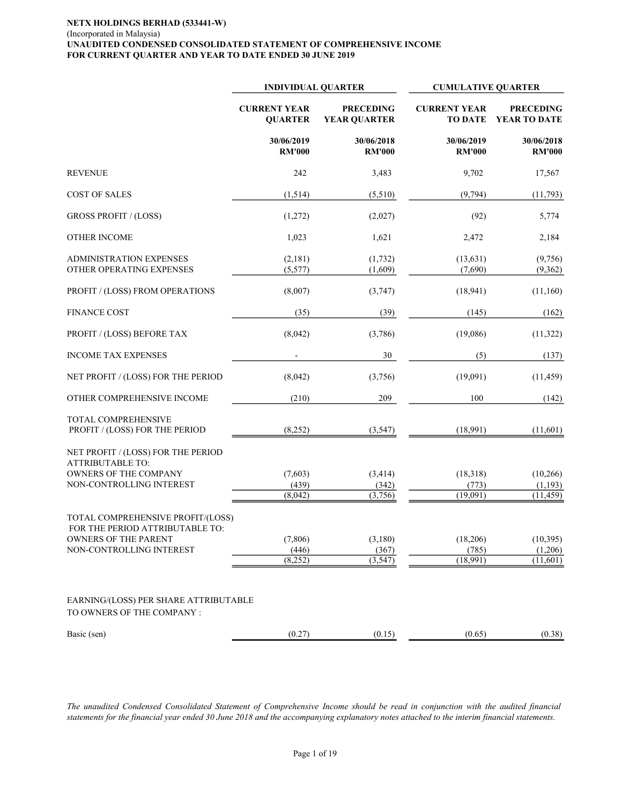#### NETX HOLDINGS BERHAD (533441-W) (Incorporated in Malaysia) UNAUDITED CONDENSED CONSOLIDATED STATEMENT OF COMPREHENSIVE INCOME FOR CURRENT QUARTER AND YEAR TO DATE ENDED 30 JUNE 2019

|                                                                      | <b>INDIVIDUAL QUARTER</b>             |                                         | <b>CUMULATIVE QUARTER</b>             |                                   |
|----------------------------------------------------------------------|---------------------------------------|-----------------------------------------|---------------------------------------|-----------------------------------|
|                                                                      | <b>CURRENT YEAR</b><br><b>QUARTER</b> | <b>PRECEDING</b><br><b>YEAR QUARTER</b> | <b>CURRENT YEAR</b><br><b>TO DATE</b> | <b>PRECEDING</b><br>YEAR TO DATE  |
|                                                                      | 30/06/2019<br><b>RM'000</b>           | 30/06/2018<br><b>RM'000</b>             | 30/06/2019<br><b>RM'000</b>           | 30/06/2018<br><b>RM'000</b>       |
| <b>REVENUE</b>                                                       | 242                                   | 3,483                                   | 9,702                                 | 17,567                            |
| <b>COST OF SALES</b>                                                 | (1,514)                               | (5,510)                                 | (9,794)                               | (11,793)                          |
| <b>GROSS PROFIT / (LOSS)</b>                                         | (1,272)                               | (2,027)                                 | (92)                                  | 5,774                             |
| <b>OTHER INCOME</b>                                                  | 1,023                                 | 1,621                                   | 2,472                                 | 2,184                             |
| <b>ADMINISTRATION EXPENSES</b><br>OTHER OPERATING EXPENSES           | (2,181)<br>(5,577)                    | (1, 732)<br>(1,609)                     | (13, 631)<br>(7,690)                  | (9,756)<br>(9,362)                |
| PROFIT / (LOSS) FROM OPERATIONS                                      | (8,007)                               | (3,747)                                 | (18, 941)                             | (11,160)                          |
| <b>FINANCE COST</b>                                                  | (35)                                  | (39)                                    | (145)                                 | (162)                             |
| PROFIT / (LOSS) BEFORE TAX                                           | (8,042)                               | (3,786)                                 | (19,086)                              | (11,322)                          |
| <b>INCOME TAX EXPENSES</b>                                           |                                       | 30                                      | (5)                                   | (137)                             |
| NET PROFIT / (LOSS) FOR THE PERIOD                                   | (8,042)                               | (3,756)                                 | (19,091)                              | (11, 459)                         |
| OTHER COMPREHENSIVE INCOME                                           | (210)                                 | 209                                     | 100                                   | (142)                             |
| TOTAL COMPREHENSIVE<br>PROFIT / (LOSS) FOR THE PERIOD                | (8,252)                               | (3, 547)                                | (18,991)                              | (11,601)                          |
| NET PROFIT / (LOSS) FOR THE PERIOD<br><b>ATTRIBUTABLE TO:</b>        |                                       |                                         |                                       |                                   |
| OWNERS OF THE COMPANY<br>NON-CONTROLLING INTEREST                    | (7,603)<br>(439)<br>(8,042)           | (3, 414)<br>(342)<br>(3,756)            | (18, 318)<br>(773)<br>(19,091)        | (10, 266)<br>(1,193)<br>(11, 459) |
| TOTAL COMPREHENSIVE PROFIT/(LOSS)<br>FOR THE PERIOD ATTRIBUTABLE TO: |                                       |                                         |                                       |                                   |
| OWNERS OF THE PARENT<br>NON-CONTROLLING INTEREST                     | (7,806)<br>(446)<br>(8,252)           | (3,180)<br>(367)<br>(3, 547)            | (18,206)<br>(785)<br>(18,991)         | (10,395)<br>(1,206)<br>(11,601)   |
| EARNING/(LOSS) PER SHARE ATTRIBUTABLE<br>TO OWNERS OF THE COMPANY :  |                                       |                                         |                                       |                                   |
| Basic (sen)                                                          | (0.27)                                | (0.15)                                  | (0.65)                                | (0.38)                            |

The unaudited Condensed Consolidated Statement of Comprehensive Income should be read in conjunction with the audited financial statements for the financial year ended 30 June 2018 and the accompanying explanatory notes attached to the interim financial statements.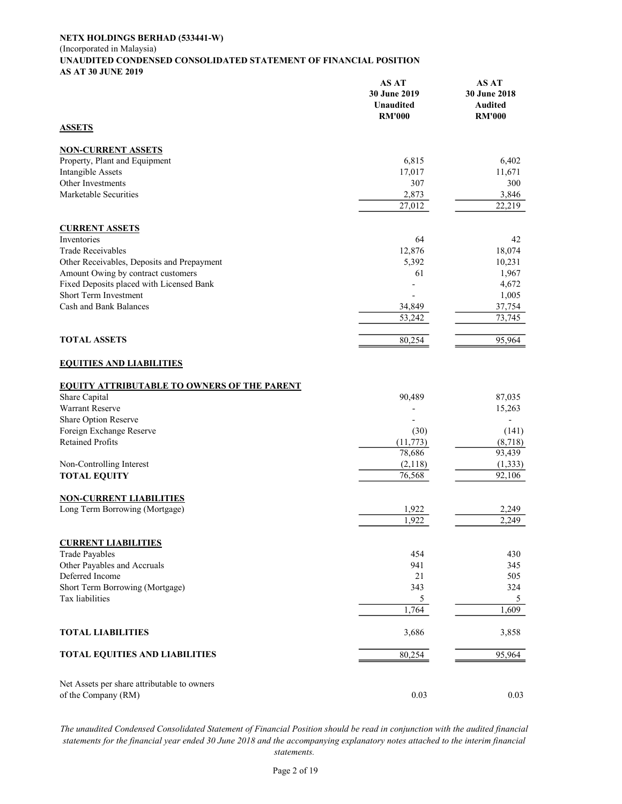#### NETX HOLDINGS BERHAD (533441-W) (Incorporated in Malaysia) UNAUDITED CONDENSED CONSOLIDATED STATEMENT OF FINANCIAL POSITION AS AT 30 JUNE 2019

|                                                    | AS AT<br>30 June 2019<br><b>Unaudited</b><br><b>RM'000</b> | AS AT<br>30 June 2018<br>Audited<br><b>RM'000</b> |
|----------------------------------------------------|------------------------------------------------------------|---------------------------------------------------|
| <b>ASSETS</b>                                      |                                                            |                                                   |
| <b>NON-CURRENT ASSETS</b>                          |                                                            |                                                   |
| Property, Plant and Equipment                      | 6,815                                                      | 6,402                                             |
| <b>Intangible Assets</b>                           | 17,017                                                     | 11,671                                            |
| Other Investments                                  | 307                                                        | 300                                               |
| Marketable Securities                              | 2,873                                                      | 3,846                                             |
|                                                    | 27,012                                                     | 22,219                                            |
| <b>CURRENT ASSETS</b>                              |                                                            |                                                   |
| Inventories                                        | 64                                                         | 42                                                |
| <b>Trade Receivables</b>                           | 12,876                                                     | 18,074                                            |
| Other Receivables, Deposits and Prepayment         | 5,392                                                      | 10,231                                            |
| Amount Owing by contract customers                 | 61                                                         | 1,967                                             |
| Fixed Deposits placed with Licensed Bank           |                                                            | 4,672                                             |
| Short Term Investment                              |                                                            | 1,005                                             |
| Cash and Bank Balances                             | 34,849                                                     | 37,754                                            |
|                                                    | 53,242                                                     | 73,745                                            |
| <b>TOTAL ASSETS</b>                                | 80,254                                                     | 95,964                                            |
| <b>EQUITIES AND LIABILITIES</b>                    |                                                            |                                                   |
| <b>EQUITY ATTRIBUTABLE TO OWNERS OF THE PARENT</b> |                                                            |                                                   |
| Share Capital                                      | 90,489                                                     | 87,035                                            |
| <b>Warrant Reserve</b>                             |                                                            | 15,263                                            |
| Share Option Reserve                               |                                                            | $\overline{\phantom{a}}$                          |
| Foreign Exchange Reserve                           | (30)                                                       | (141)                                             |
| <b>Retained Profits</b>                            | (11,773)                                                   | (8,718)                                           |
|                                                    | 78,686                                                     | 93,439                                            |
| Non-Controlling Interest                           | (2,118)                                                    | (1, 333)                                          |
| <b>TOTAL EQUITY</b>                                | 76,568                                                     | 92,106                                            |
| <b>NON-CURRENT LIABILITIES</b>                     |                                                            |                                                   |
| Long Term Borrowing (Mortgage)                     | 1,922                                                      | 2,249                                             |
|                                                    | 1,922                                                      | 2,249                                             |
| <b>CURRENT LIABILITIES</b>                         |                                                            |                                                   |
| <b>Trade Payables</b>                              | 454                                                        | 430                                               |
| Other Payables and Accruals                        | 941                                                        | 345                                               |
| Deferred Income                                    | 21                                                         | 505                                               |
| Short Term Borrowing (Mortgage)                    | 343                                                        | 324                                               |
| Tax liabilities                                    | 5                                                          | 5                                                 |
|                                                    | 1,764                                                      | 1,609                                             |
| <b>TOTAL LIABILITIES</b>                           | 3,686                                                      | 3,858                                             |
| <b>TOTAL EQUITIES AND LIABILITIES</b>              | 80,254                                                     | 95,964                                            |
|                                                    |                                                            |                                                   |
| Net Assets per share attributable to owners        |                                                            |                                                   |
| of the Company (RM)                                | 0.03                                                       | 0.03                                              |

The unaudited Condensed Consolidated Statement of Financial Position should be read in conjunction with the audited financial statements for the financial year ended 30 June 2018 and the accompanying explanatory notes attached to the interim financial statements.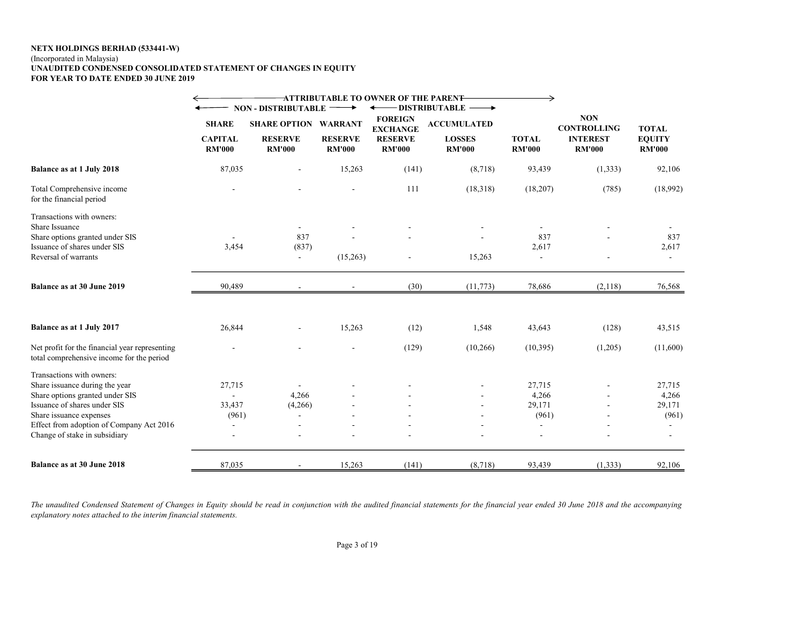#### NETX HOLDINGS BERHAD (533441-W)

#### (Incorporated in Malaysia)

#### UNAUDITED CONDENSED CONSOLIDATED STATEMENT OF CHANGES IN EQUITY FOR YEAR TO DATE ENDED 30 JUNE 2019

|                                                                                                                                                                                                                                        |                                                 |                                                                                      |                                                   | <b>ATTRIBUTABLE TO OWNER OF THE PAREN<del>T</del></b>                |                                                                                                   | $\rightarrow$                                                        |                                                                      |                                                |
|----------------------------------------------------------------------------------------------------------------------------------------------------------------------------------------------------------------------------------------|-------------------------------------------------|--------------------------------------------------------------------------------------|---------------------------------------------------|----------------------------------------------------------------------|---------------------------------------------------------------------------------------------------|----------------------------------------------------------------------|----------------------------------------------------------------------|------------------------------------------------|
|                                                                                                                                                                                                                                        | <b>SHARE</b><br><b>CAPITAL</b><br><b>RM'000</b> | <b>NON - DISTRIBUTABLE</b><br><b>SHARE OPTION</b><br><b>RESERVE</b><br><b>RM'000</b> | <b>WARRANT</b><br><b>RESERVE</b><br><b>RM'000</b> | <b>FOREIGN</b><br><b>EXCHANGE</b><br><b>RESERVE</b><br><b>RM'000</b> | <b>DISTRIBUTABLE</b><br>$\longrightarrow$<br><b>ACCUMULATED</b><br><b>LOSSES</b><br><b>RM'000</b> | <b>TOTAL</b><br><b>RM'000</b>                                        | <b>NON</b><br><b>CONTROLLING</b><br><b>INTEREST</b><br><b>RM'000</b> | <b>TOTAL</b><br><b>EQUITY</b><br><b>RM'000</b> |
| Balance as at 1 July 2018                                                                                                                                                                                                              | 87,035                                          |                                                                                      | 15,263                                            | (141)                                                                | (8,718)                                                                                           | 93,439                                                               | (1, 333)                                                             | 92,106                                         |
| Total Comprehensive income<br>for the financial period                                                                                                                                                                                 |                                                 |                                                                                      |                                                   | 111                                                                  | (18,318)                                                                                          | (18,207)                                                             | (785)                                                                | (18,992)                                       |
| Transactions with owners:<br>Share Issuance<br>Share options granted under SIS<br>Issuance of shares under SIS<br>Reversal of warrants                                                                                                 | 3,454                                           | $\sim$<br>837<br>(837)<br>$\sim$                                                     | (15,263)                                          |                                                                      | 15,263                                                                                            | $\overline{\phantom{a}}$<br>837<br>2,617<br>$\overline{\phantom{a}}$ |                                                                      | 837<br>2,617<br>$\sim$                         |
| Balance as at 30 June 2019                                                                                                                                                                                                             | 90,489                                          |                                                                                      |                                                   | (30)                                                                 | (11, 773)                                                                                         | 78,686                                                               | (2,118)                                                              | 76,568                                         |
| Balance as at 1 July 2017                                                                                                                                                                                                              | 26,844                                          |                                                                                      | 15,263                                            | (12)                                                                 | 1,548                                                                                             | 43,643                                                               | (128)                                                                | 43,515                                         |
| Net profit for the financial year representing<br>total comprehensive income for the period                                                                                                                                            |                                                 |                                                                                      |                                                   | (129)                                                                | (10, 266)                                                                                         | (10, 395)                                                            | (1,205)                                                              | (11,600)                                       |
| Transactions with owners:<br>Share issuance during the year<br>Share options granted under SIS<br>Issuance of shares under SIS<br>Share issuance expenses<br>Effect from adoption of Company Act 2016<br>Change of stake in subsidiary | 27,715<br>33,437<br>(961)                       | 4,266<br>(4,266)<br>$\sim$                                                           |                                                   |                                                                      |                                                                                                   | 27,715<br>4,266<br>29,171<br>(961)                                   |                                                                      | 27,715<br>4,266<br>29,171<br>(961)             |
| Balance as at 30 June 2018                                                                                                                                                                                                             | 87,035                                          |                                                                                      | 15,263                                            | (141)                                                                | (8,718)                                                                                           | 93,439                                                               | (1, 333)                                                             | 92,106                                         |

The unaudited Condensed Statement of Changes in Equity should be read in conjunction with the audited financial statements for the financial year ended 30 June 2018 and the accompanying explanatory notes attached to the interim financial statements.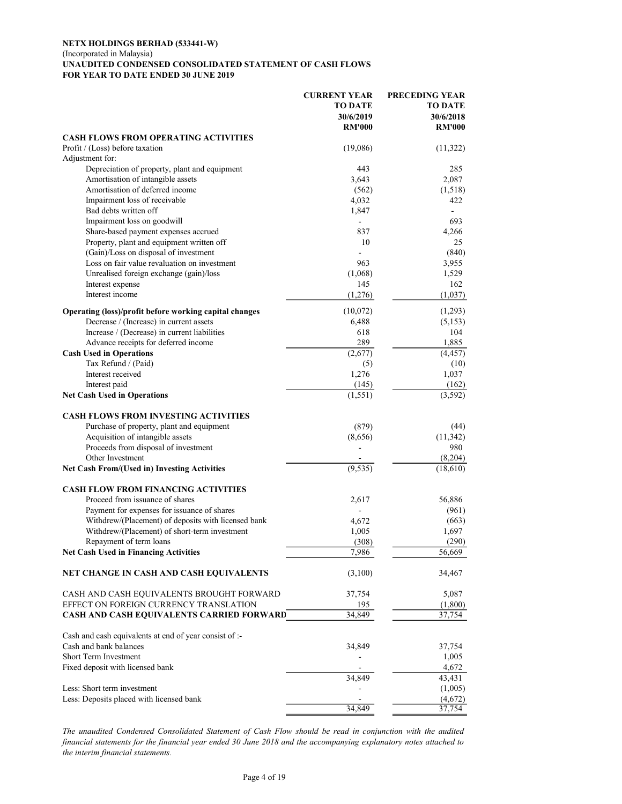#### NETX HOLDINGS BERHAD (533441-W) (Incorporated in Malaysia) UNAUDITED CONDENSED CONSOLIDATED STATEMENT OF CASH FLOWS FOR YEAR TO DATE ENDED 30 JUNE 2019

|                                                                                   | <b>CURRENT YEAR</b><br>TO DATE<br>30/6/2019<br><b>RM'000</b> | PRECEDING YEAR<br>TO DATE<br>30/6/2018<br><b>RM'000</b> |
|-----------------------------------------------------------------------------------|--------------------------------------------------------------|---------------------------------------------------------|
| <b>CASH FLOWS FROM OPERATING ACTIVITIES</b>                                       |                                                              |                                                         |
| Profit / (Loss) before taxation                                                   | (19,086)                                                     | (11,322)                                                |
| Adjustment for:                                                                   |                                                              |                                                         |
| Depreciation of property, plant and equipment                                     | 443                                                          | 285                                                     |
| Amortisation of intangible assets                                                 | 3,643                                                        | 2,087                                                   |
| Amortisation of deferred income                                                   | (562)                                                        | (1,518)                                                 |
| Impairment loss of receivable                                                     | 4,032                                                        | 422                                                     |
| Bad debts written off                                                             | 1,847                                                        | ÷.                                                      |
| Impairment loss on goodwill                                                       |                                                              | 693                                                     |
| Share-based payment expenses accrued<br>Property, plant and equipment written off | 837<br>10                                                    | 4,266<br>25                                             |
| (Gain)/Loss on disposal of investment                                             |                                                              | (840)                                                   |
| Loss on fair value revaluation on investment                                      | 963                                                          | 3,955                                                   |
| Unrealised foreign exchange (gain)/loss                                           | (1,068)                                                      | 1,529                                                   |
| Interest expense                                                                  | 145                                                          | 162                                                     |
| Interest income                                                                   | (1,276)                                                      | (1,037)                                                 |
| Operating (loss)/profit before working capital changes                            | (10,072)                                                     | (1,293)                                                 |
| Decrease / (Increase) in current assets                                           | 6,488                                                        | (5,153)                                                 |
| Increase / (Decrease) in current liabilities                                      | 618                                                          | 104                                                     |
| Advance receipts for deferred income                                              | 289                                                          | 1,885                                                   |
| <b>Cash Used in Operations</b>                                                    | (2,677)                                                      | (4, 457)                                                |
| Tax Refund / (Paid)                                                               | (5)                                                          | (10)                                                    |
| Interest received                                                                 | 1,276                                                        | 1,037                                                   |
| Interest paid                                                                     | (145)                                                        | (162)                                                   |
| <b>Net Cash Used in Operations</b>                                                | (1, 551)                                                     | (3,592)                                                 |
| <b>CASH FLOWS FROM INVESTING ACTIVITIES</b>                                       |                                                              |                                                         |
| Purchase of property, plant and equipment                                         | (879)                                                        | (44)                                                    |
| Acquisition of intangible assets                                                  | (8,656)                                                      | (11, 342)                                               |
| Proceeds from disposal of investment                                              |                                                              | 980                                                     |
| Other Investment                                                                  |                                                              | (8,204)                                                 |
| <b>Net Cash From/(Used in) Investing Activities</b>                               | (9, 535)                                                     | (18,610)                                                |
| <b>CASH FLOW FROM FINANCING ACTIVITIES</b>                                        |                                                              |                                                         |
| Proceed from issuance of shares                                                   | 2,617                                                        | 56,886                                                  |
| Payment for expenses for issuance of shares                                       |                                                              | (961)                                                   |
| Withdrew/(Placement) of deposits with licensed bank                               | 4,672                                                        | (663)                                                   |
| Withdrew/(Placement) of short-term investment                                     | 1,005                                                        | 1,697                                                   |
| Repayment of term loans                                                           | (308)                                                        | (290)                                                   |
| <b>Net Cash Used in Financing Activities</b>                                      | 7,986                                                        | 56,669                                                  |
| NET CHANGE IN CASH AND CASH EQUIVALENTS                                           | (3,100)                                                      | 34,467                                                  |
| CASH AND CASH EQUIVALENTS BROUGHT FORWARD                                         | 37,754                                                       | 5,087                                                   |
| EFFECT ON FOREIGN CURRENCY TRANSLATION                                            | <u>195</u>                                                   | (1,800)                                                 |
| <b>CASH AND CASH EQUIVALENTS CARRIED FORWARD</b>                                  | 34,849                                                       | 37,754                                                  |
| Cash and cash equivalents at end of year consist of :-                            |                                                              |                                                         |
| Cash and bank balances                                                            | 34,849                                                       | 37,754                                                  |
| Short Term Investment                                                             |                                                              | 1,005                                                   |
| Fixed deposit with licensed bank                                                  |                                                              | 4,672                                                   |
|                                                                                   | 34,849                                                       | 43,431                                                  |
| Less: Short term investment                                                       |                                                              | (1,005)                                                 |
| Less: Deposits placed with licensed bank                                          |                                                              | (4,672)                                                 |
|                                                                                   | 34,849                                                       | 37,754                                                  |

The unaudited Condensed Consolidated Statement of Cash Flow should be read in conjunction with the audited financial statements for the financial year ended 30 June 2018 and the accompanying explanatory notes attached to the interim financial statements.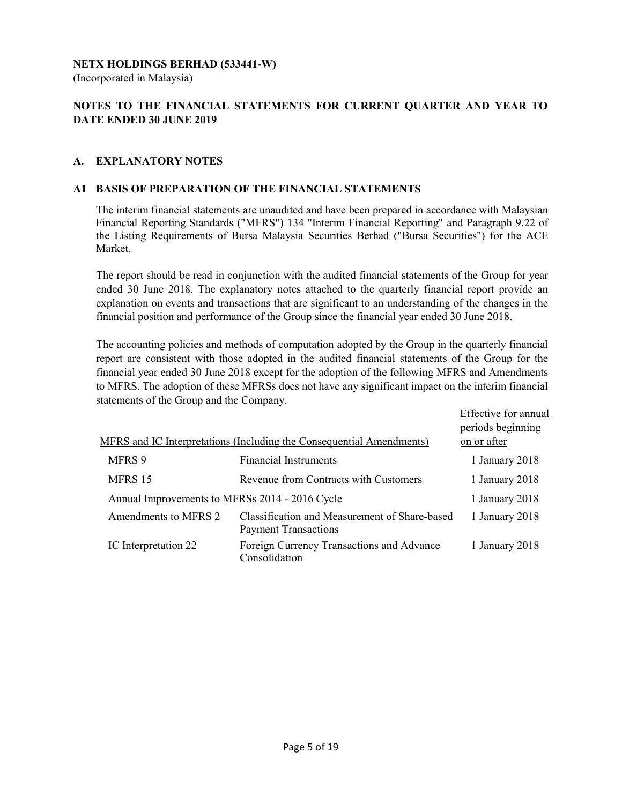### NETX HOLDINGS BERHAD (533441-W)

(Incorporated in Malaysia)

# NOTES TO THE FINANCIAL STATEMENTS FOR CURRENT QUARTER AND YEAR TO DATE ENDED 30 JUNE 2019

### A. EXPLANATORY NOTES

#### A1 BASIS OF PREPARATION OF THE FINANCIAL STATEMENTS

 The interim financial statements are unaudited and have been prepared in accordance with Malaysian Financial Reporting Standards ("MFRS") 134 "Interim Financial Reporting" and Paragraph 9.22 of the Listing Requirements of Bursa Malaysia Securities Berhad ("Bursa Securities") for the ACE Market.

 The report should be read in conjunction with the audited financial statements of the Group for year ended 30 June 2018. The explanatory notes attached to the quarterly financial report provide an explanation on events and transactions that are significant to an understanding of the changes in the financial position and performance of the Group since the financial year ended 30 June 2018.

 The accounting policies and methods of computation adopted by the Group in the quarterly financial report are consistent with those adopted in the audited financial statements of the Group for the financial year ended 30 June 2018 except for the adoption of the following MFRS and Amendments to MFRS. The adoption of these MFRSs does not have any significant impact on the interim financial statements of the Group and the Company.

|                                                |                                                                              | Effective for annual |
|------------------------------------------------|------------------------------------------------------------------------------|----------------------|
|                                                |                                                                              | periods beginning    |
|                                                | MFRS and IC Interpretations (Including the Consequential Amendments)         | on or after          |
| MFRS 9                                         | <b>Financial Instruments</b>                                                 | 1 January 2018       |
| MFRS 15                                        | Revenue from Contracts with Customers                                        | 1 January 2018       |
| Annual Improvements to MFRSs 2014 - 2016 Cycle |                                                                              | 1 January 2018       |
| Amendments to MFRS 2                           | Classification and Measurement of Share-based<br><b>Payment Transactions</b> | 1 January 2018       |
| IC Interpretation 22                           | Foreign Currency Transactions and Advance<br>Consolidation                   | 1 January 2018       |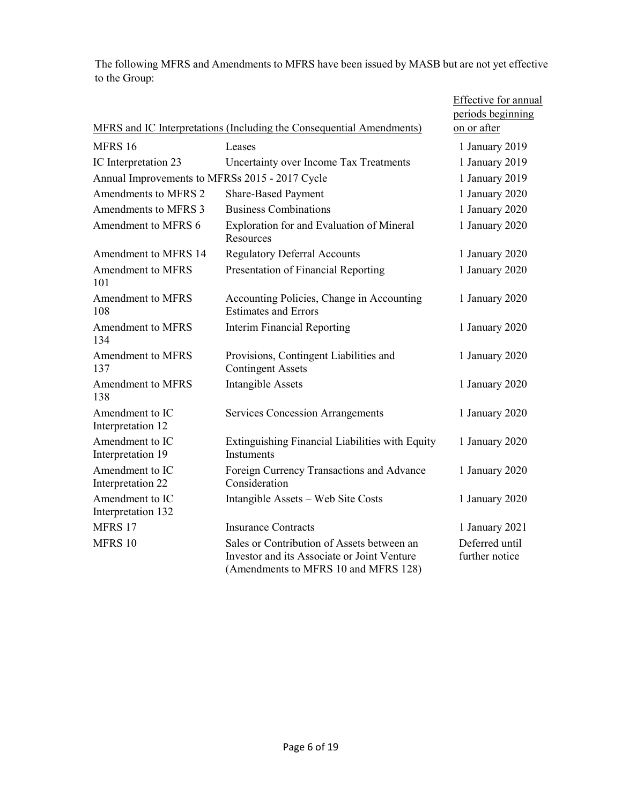The following MFRS and Amendments to MFRS have been issued by MASB but are not yet effective to the Group:

|                                                |                                                                                                                                   | Effective for annual<br>periods beginning |
|------------------------------------------------|-----------------------------------------------------------------------------------------------------------------------------------|-------------------------------------------|
|                                                | MFRS and IC Interpretations (Including the Consequential Amendments)                                                              | on or after                               |
| MFRS 16                                        | Leases                                                                                                                            | 1 January 2019                            |
| IC Interpretation 23                           | Uncertainty over Income Tax Treatments                                                                                            | 1 January 2019                            |
| Annual Improvements to MFRSs 2015 - 2017 Cycle |                                                                                                                                   | 1 January 2019                            |
| Amendments to MFRS 2                           | <b>Share-Based Payment</b>                                                                                                        | 1 January 2020                            |
| Amendments to MFRS 3                           | <b>Business Combinations</b>                                                                                                      | 1 January 2020                            |
| Amendment to MFRS 6                            | Exploration for and Evaluation of Mineral<br>Resources                                                                            | 1 January 2020                            |
| Amendment to MFRS 14                           | <b>Regulatory Deferral Accounts</b>                                                                                               | 1 January 2020                            |
| <b>Amendment to MFRS</b><br>101                | Presentation of Financial Reporting                                                                                               | 1 January 2020                            |
| Amendment to MFRS<br>108                       | Accounting Policies, Change in Accounting<br><b>Estimates and Errors</b>                                                          | 1 January 2020                            |
| <b>Amendment to MFRS</b><br>134                | <b>Interim Financial Reporting</b>                                                                                                | 1 January 2020                            |
| <b>Amendment to MFRS</b><br>137                | Provisions, Contingent Liabilities and<br><b>Contingent Assets</b>                                                                | 1 January 2020                            |
| Amendment to MFRS<br>138                       | <b>Intangible Assets</b>                                                                                                          | 1 January 2020                            |
| Amendment to IC<br>Interpretation 12           | <b>Services Concession Arrangements</b>                                                                                           | 1 January 2020                            |
| Amendment to IC<br>Interpretation 19           | Extinguishing Financial Liabilities with Equity<br><b>Instuments</b>                                                              | 1 January 2020                            |
| Amendment to IC<br>Interpretation 22           | Foreign Currency Transactions and Advance<br>Consideration                                                                        | 1 January 2020                            |
| Amendment to IC<br>Interpretation 132          | Intangible Assets - Web Site Costs                                                                                                | 1 January 2020                            |
| <b>MFRS 17</b>                                 | <b>Insurance Contracts</b>                                                                                                        | 1 January 2021                            |
| MFRS 10                                        | Sales or Contribution of Assets between an<br>Investor and its Associate or Joint Venture<br>(Amendments to MFRS 10 and MFRS 128) | Deferred until<br>further notice          |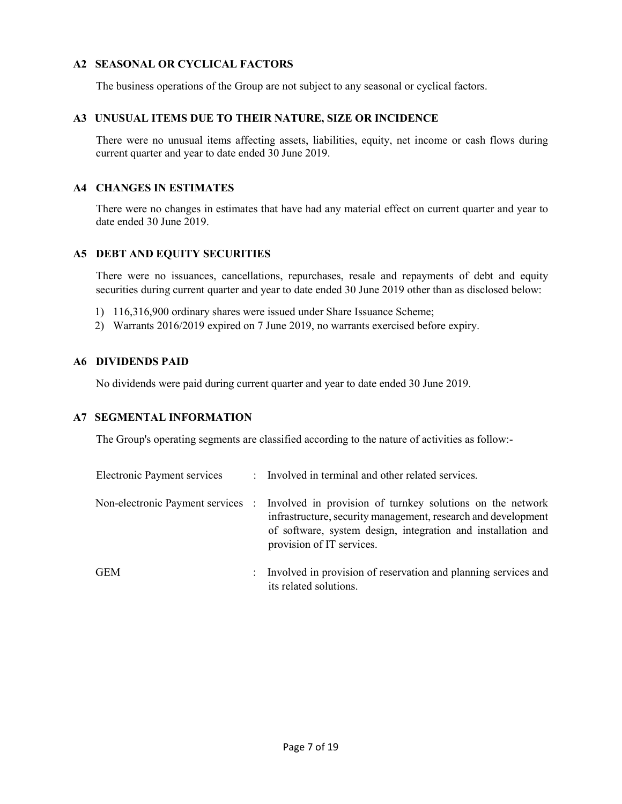### A2 SEASONAL OR CYCLICAL FACTORS

The business operations of the Group are not subject to any seasonal or cyclical factors.

#### A3 UNUSUAL ITEMS DUE TO THEIR NATURE, SIZE OR INCIDENCE

 There were no unusual items affecting assets, liabilities, equity, net income or cash flows during current quarter and year to date ended 30 June 2019.

#### A4 CHANGES IN ESTIMATES

 There were no changes in estimates that have had any material effect on current quarter and year to date ended 30 June 2019.

### A5 DEBT AND EQUITY SECURITIES

 There were no issuances, cancellations, repurchases, resale and repayments of debt and equity securities during current quarter and year to date ended 30 June 2019 other than as disclosed below:

- 1) 116,316,900 ordinary shares were issued under Share Issuance Scheme;
- 2) Warrants 2016/2019 expired on 7 June 2019, no warrants exercised before expiry.

#### A6 DIVIDENDS PAID

No dividends were paid during current quarter and year to date ended 30 June 2019.

#### A7 SEGMENTAL INFORMATION

The Group's operating segments are classified according to the nature of activities as follow:-

| Electronic Payment services |                      | : Involved in terminal and other related services.                                                                                                                                                                                                        |
|-----------------------------|----------------------|-----------------------------------------------------------------------------------------------------------------------------------------------------------------------------------------------------------------------------------------------------------|
|                             |                      | Non-electronic Payment services : Involved in provision of turnkey solutions on the network<br>infrastructure, security management, research and development<br>of software, system design, integration and installation and<br>provision of IT services. |
| GEM                         | $\ddot{\phantom{0}}$ | Involved in provision of reservation and planning services and                                                                                                                                                                                            |

its related solutions.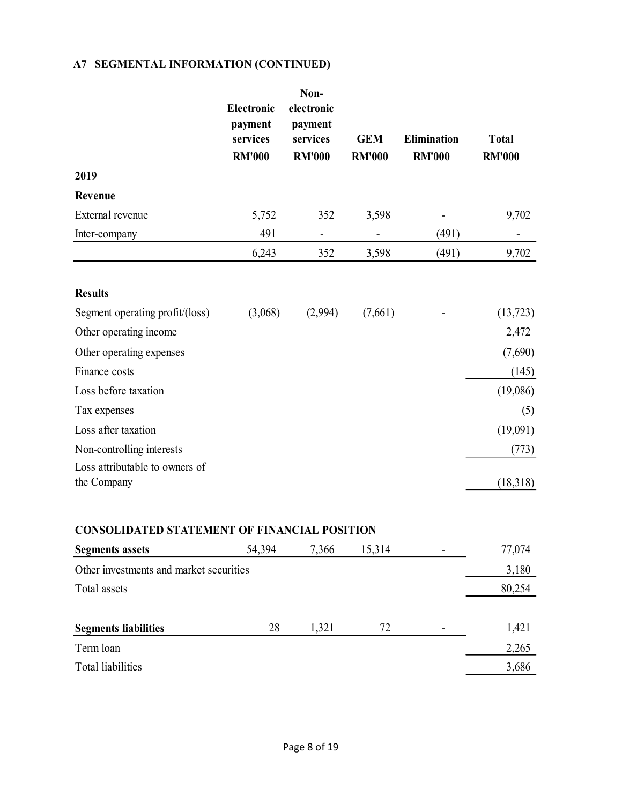# A7 SEGMENTAL INFORMATION (CONTINUED)

|                                               | Electronic<br>payment<br>services<br><b>RM'000</b> | Non-<br>electronic<br>payment<br>services<br><b>RM'000</b> | <b>GEM</b><br><b>RM'000</b> | Elimination<br><b>RM'000</b> | <b>Total</b><br><b>RM'000</b> |
|-----------------------------------------------|----------------------------------------------------|------------------------------------------------------------|-----------------------------|------------------------------|-------------------------------|
| 2019                                          |                                                    |                                                            |                             |                              |                               |
| Revenue                                       |                                                    |                                                            |                             |                              |                               |
| External revenue                              | 5,752                                              | 352                                                        | 3,598                       | $\overline{\phantom{0}}$     | 9,702                         |
| Inter-company                                 | 491                                                | $\blacksquare$                                             | $\overline{a}$              | (491)                        | $\blacksquare$                |
|                                               | 6,243                                              | 352                                                        | 3,598                       | (491)                        | 9,702                         |
| <b>Results</b>                                |                                                    |                                                            |                             |                              |                               |
| Segment operating profit/(loss)               | (3,068)                                            | (2,994)                                                    | (7,661)                     |                              | (13, 723)                     |
| Other operating income                        |                                                    |                                                            |                             |                              | 2,472                         |
| Other operating expenses                      |                                                    |                                                            |                             |                              | (7,690)                       |
| Finance costs                                 |                                                    |                                                            |                             |                              | (145)                         |
| Loss before taxation                          |                                                    |                                                            |                             |                              | (19,086)                      |
| Tax expenses                                  |                                                    |                                                            |                             |                              | (5)                           |
| Loss after taxation                           |                                                    |                                                            |                             |                              | (19,091)                      |
| Non-controlling interests                     |                                                    |                                                            |                             |                              | (773)                         |
| Loss attributable to owners of<br>the Company |                                                    |                                                            |                             |                              | (18,318)                      |
| CONSOLIDATED STATEMENT OF FINANCIAL POSITION  |                                                    |                                                            |                             |                              |                               |
| <b>Segments assets</b>                        | 54,394                                             | 7,366                                                      | 15,314                      |                              | 77,074                        |
| Other investments and market securities       |                                                    |                                                            |                             |                              | 3,180                         |
| Total assets                                  |                                                    |                                                            |                             |                              | 80,254                        |
|                                               |                                                    |                                                            |                             |                              |                               |
| <b>Segments liabilities</b>                   | 28                                                 | 1,321                                                      | 72                          |                              | 1,421                         |
| Term loan                                     |                                                    |                                                            |                             |                              | 2,265                         |
| Total liabilities                             |                                                    |                                                            |                             |                              | 3,686                         |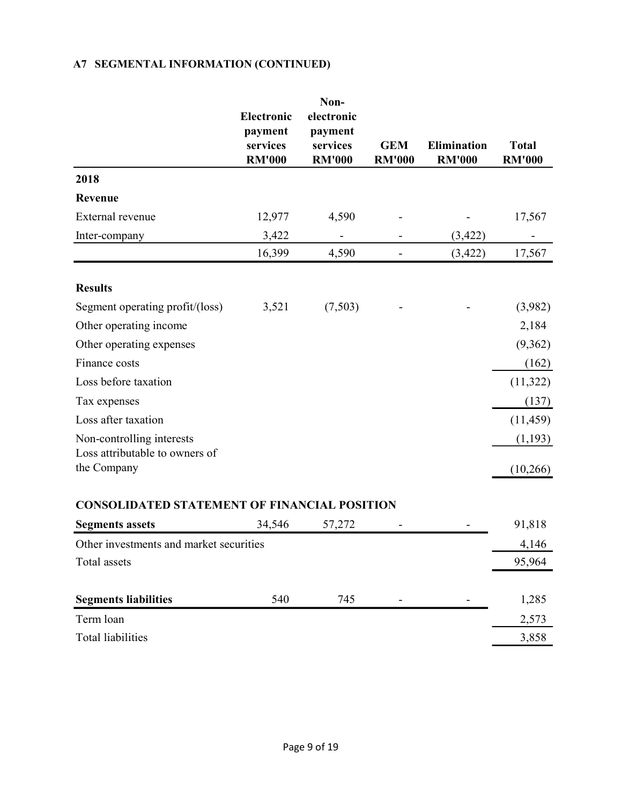# A7 SEGMENTAL INFORMATION (CONTINUED)

|                                                     | Electronic<br>payment<br>services<br><b>RM'000</b> | Non-<br>electronic<br>payment<br>services<br><b>RM'000</b> | <b>GEM</b><br><b>RM'000</b> | Elimination<br><b>RM'000</b> | <b>Total</b><br><b>RM'000</b> |
|-----------------------------------------------------|----------------------------------------------------|------------------------------------------------------------|-----------------------------|------------------------------|-------------------------------|
| 2018                                                |                                                    |                                                            |                             |                              |                               |
| Revenue                                             |                                                    |                                                            |                             |                              |                               |
| External revenue                                    | 12,977                                             | 4,590                                                      |                             |                              | 17,567                        |
| Inter-company                                       | 3,422                                              | $\overline{\phantom{a}}$                                   |                             | (3, 422)                     | $\blacksquare$                |
|                                                     | 16,399                                             | 4,590                                                      | $\overline{\phantom{a}}$    | (3, 422)                     | 17,567                        |
| <b>Results</b>                                      |                                                    |                                                            |                             |                              |                               |
| Segment operating profit/(loss)                     | 3,521                                              | (7,503)                                                    |                             |                              | (3,982)                       |
| Other operating income                              |                                                    |                                                            |                             |                              | 2,184                         |
| Other operating expenses                            |                                                    |                                                            |                             |                              | (9, 362)                      |
| Finance costs                                       |                                                    |                                                            |                             |                              | (162)                         |
| Loss before taxation                                |                                                    |                                                            |                             |                              | (11,322)                      |
| Tax expenses                                        |                                                    |                                                            |                             |                              | (137)                         |
| Loss after taxation                                 |                                                    |                                                            |                             |                              | (11, 459)                     |
| Non-controlling interests                           |                                                    |                                                            |                             |                              | (1,193)                       |
| Loss attributable to owners of<br>the Company       |                                                    |                                                            |                             |                              | (10, 266)                     |
| <b>CONSOLIDATED STATEMENT OF FINANCIAL POSITION</b> |                                                    |                                                            |                             |                              |                               |
| <b>Segments assets</b>                              | 34,546                                             | 57,272                                                     | $\overline{\phantom{a}}$    | $\sim$                       | 91,818                        |
| Other investments and market securities             |                                                    |                                                            |                             |                              | 4,146                         |
| Total assets                                        |                                                    |                                                            |                             |                              | 95,964                        |
|                                                     |                                                    |                                                            |                             |                              |                               |
| <b>Segments liabilities</b>                         | 540                                                | 745                                                        |                             | $\overline{\phantom{a}}$     | 1,285                         |
| Term loan                                           |                                                    |                                                            |                             |                              | 2,573                         |
| Total liabilities                                   |                                                    |                                                            |                             |                              | 3,858                         |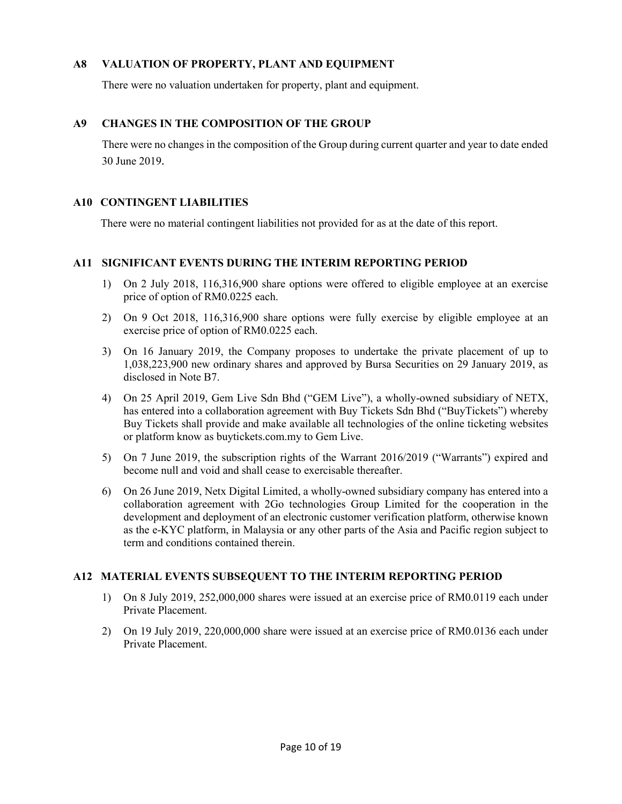# A8 VALUATION OF PROPERTY, PLANT AND EQUIPMENT

There were no valuation undertaken for property, plant and equipment.

# A9 CHANGES IN THE COMPOSITION OF THE GROUP

There were no changes in the composition of the Group during current quarter and year to date ended 30 June 2019.

### A10 CONTINGENT LIABILITIES

There were no material contingent liabilities not provided for as at the date of this report.

### A11 SIGNIFICANT EVENTS DURING THE INTERIM REPORTING PERIOD

- 1) On 2 July 2018, 116,316,900 share options were offered to eligible employee at an exercise price of option of RM0.0225 each.
- 2) On 9 Oct 2018, 116,316,900 share options were fully exercise by eligible employee at an exercise price of option of RM0.0225 each.
- 3) On 16 January 2019, the Company proposes to undertake the private placement of up to 1,038,223,900 new ordinary shares and approved by Bursa Securities on 29 January 2019, as disclosed in Note B7.
- 4) On 25 April 2019, Gem Live Sdn Bhd ("GEM Live"), a wholly-owned subsidiary of NETX, has entered into a collaboration agreement with Buy Tickets Sdn Bhd ("BuyTickets") whereby Buy Tickets shall provide and make available all technologies of the online ticketing websites or platform know as buytickets.com.my to Gem Live.
- 5) On 7 June 2019, the subscription rights of the Warrant 2016/2019 ("Warrants") expired and become null and void and shall cease to exercisable thereafter.
- 6) On 26 June 2019, Netx Digital Limited, a wholly-owned subsidiary company has entered into a collaboration agreement with 2Go technologies Group Limited for the cooperation in the development and deployment of an electronic customer verification platform, otherwise known as the e-KYC platform, in Malaysia or any other parts of the Asia and Pacific region subject to term and conditions contained therein.

#### A12 MATERIAL EVENTS SUBSEQUENT TO THE INTERIM REPORTING PERIOD

- 1) On 8 July 2019, 252,000,000 shares were issued at an exercise price of RM0.0119 each under Private Placement.
- 2) On 19 July 2019, 220,000,000 share were issued at an exercise price of RM0.0136 each under Private Placement.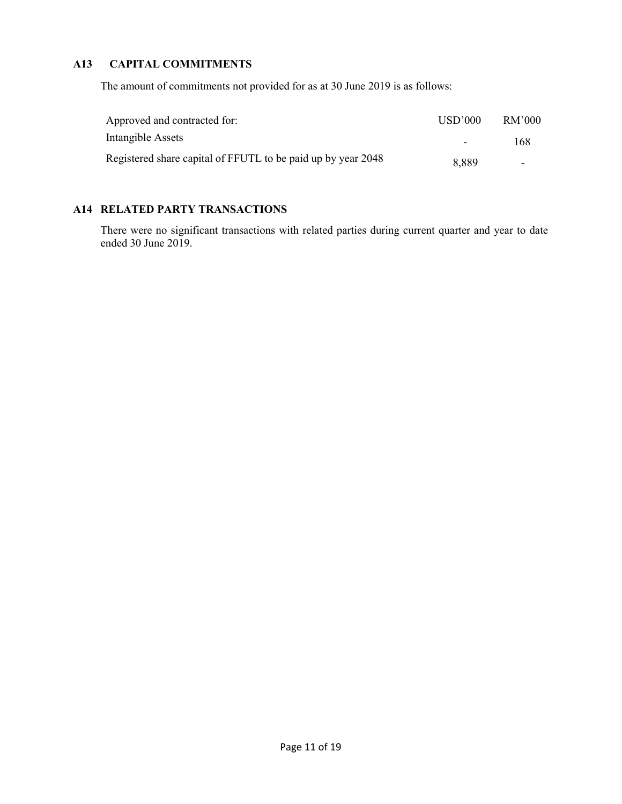# A13 CAPITAL COMMITMENTS

The amount of commitments not provided for as at 30 June 2019 is as follows:

| Approved and contracted for:                                 | USD'000 | RM'000 |
|--------------------------------------------------------------|---------|--------|
| Intangible Assets                                            | $\sim$  | 168    |
| Registered share capital of FFUTL to be paid up by year 2048 | 8,889   |        |

# A14 RELATED PARTY TRANSACTIONS

 There were no significant transactions with related parties during current quarter and year to date ended 30 June 2019.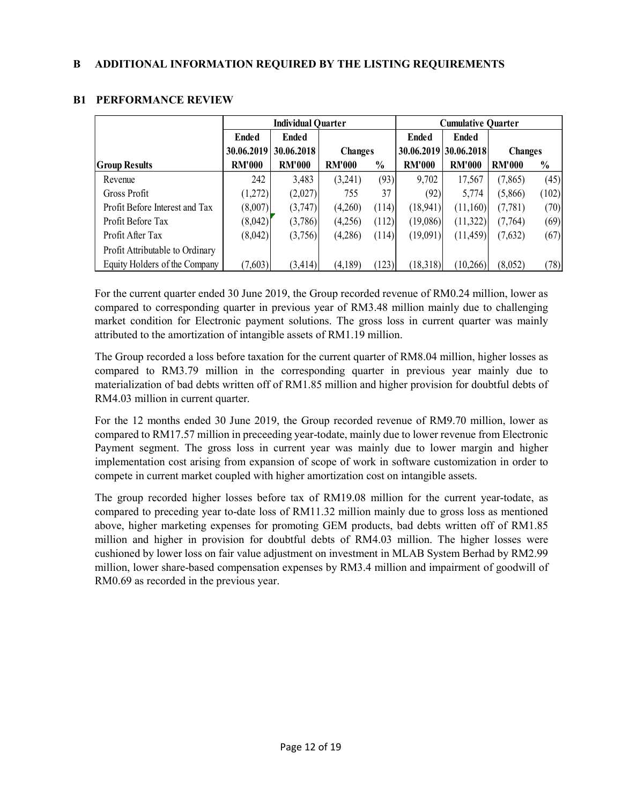| ADDITIONAL INFORMATION REQUIRED BY THE LISTING REQUIREMENTS<br><b>PERFORMANCE REVIEW</b><br><b>Individual Quarter</b><br><b>Cumulative Quarter</b><br><b>Ended</b><br><b>Ended</b><br><b>Ended</b><br><b>Ended</b><br>30.06.2018<br>30.06.2019 30.06.2018<br>30.06.2019<br><b>Changes</b><br><b>Changes</b><br><b>RM'000   RM'000</b><br><b>RM'000</b><br><b>RM'000</b><br><b>RM'000</b><br>$\frac{0}{0}$<br><b>Group Results</b><br>$\frac{0}{0}$<br><b>RM'000</b><br>3,483<br>(93)<br>9,702<br>17,567<br>242<br>(3,241)<br>(7, 865)<br>(45)<br>Revenue<br>37<br><b>Gross Profit</b><br>(1,272)<br>(2,027)<br>(92)<br>5,774<br>(102)<br>755<br>(5,866)<br>Profit Before Interest and Tax<br>(8,007)<br>(3,747)<br>(4,260)<br>(18, 941)<br>(11,160)<br>(114)<br>(7, 781)<br>(70)<br>Profit Before Tax<br>(8,042)<br>(3,786)<br>(112)<br>(19,086)<br>(11,322)<br>(69)<br>(4,256)<br>(7,764) |
|--------------------------------------------------------------------------------------------------------------------------------------------------------------------------------------------------------------------------------------------------------------------------------------------------------------------------------------------------------------------------------------------------------------------------------------------------------------------------------------------------------------------------------------------------------------------------------------------------------------------------------------------------------------------------------------------------------------------------------------------------------------------------------------------------------------------------------------------------------------------------------------------|
|                                                                                                                                                                                                                                                                                                                                                                                                                                                                                                                                                                                                                                                                                                                                                                                                                                                                                            |
|                                                                                                                                                                                                                                                                                                                                                                                                                                                                                                                                                                                                                                                                                                                                                                                                                                                                                            |
|                                                                                                                                                                                                                                                                                                                                                                                                                                                                                                                                                                                                                                                                                                                                                                                                                                                                                            |
|                                                                                                                                                                                                                                                                                                                                                                                                                                                                                                                                                                                                                                                                                                                                                                                                                                                                                            |
|                                                                                                                                                                                                                                                                                                                                                                                                                                                                                                                                                                                                                                                                                                                                                                                                                                                                                            |
|                                                                                                                                                                                                                                                                                                                                                                                                                                                                                                                                                                                                                                                                                                                                                                                                                                                                                            |
|                                                                                                                                                                                                                                                                                                                                                                                                                                                                                                                                                                                                                                                                                                                                                                                                                                                                                            |
|                                                                                                                                                                                                                                                                                                                                                                                                                                                                                                                                                                                                                                                                                                                                                                                                                                                                                            |
|                                                                                                                                                                                                                                                                                                                                                                                                                                                                                                                                                                                                                                                                                                                                                                                                                                                                                            |
|                                                                                                                                                                                                                                                                                                                                                                                                                                                                                                                                                                                                                                                                                                                                                                                                                                                                                            |
|                                                                                                                                                                                                                                                                                                                                                                                                                                                                                                                                                                                                                                                                                                                                                                                                                                                                                            |
|                                                                                                                                                                                                                                                                                                                                                                                                                                                                                                                                                                                                                                                                                                                                                                                                                                                                                            |
|                                                                                                                                                                                                                                                                                                                                                                                                                                                                                                                                                                                                                                                                                                                                                                                                                                                                                            |
|                                                                                                                                                                                                                                                                                                                                                                                                                                                                                                                                                                                                                                                                                                                                                                                                                                                                                            |
|                                                                                                                                                                                                                                                                                                                                                                                                                                                                                                                                                                                                                                                                                                                                                                                                                                                                                            |
|                                                                                                                                                                                                                                                                                                                                                                                                                                                                                                                                                                                                                                                                                                                                                                                                                                                                                            |
|                                                                                                                                                                                                                                                                                                                                                                                                                                                                                                                                                                                                                                                                                                                                                                                                                                                                                            |
|                                                                                                                                                                                                                                                                                                                                                                                                                                                                                                                                                                                                                                                                                                                                                                                                                                                                                            |
|                                                                                                                                                                                                                                                                                                                                                                                                                                                                                                                                                                                                                                                                                                                                                                                                                                                                                            |
|                                                                                                                                                                                                                                                                                                                                                                                                                                                                                                                                                                                                                                                                                                                                                                                                                                                                                            |
|                                                                                                                                                                                                                                                                                                                                                                                                                                                                                                                                                                                                                                                                                                                                                                                                                                                                                            |
|                                                                                                                                                                                                                                                                                                                                                                                                                                                                                                                                                                                                                                                                                                                                                                                                                                                                                            |
|                                                                                                                                                                                                                                                                                                                                                                                                                                                                                                                                                                                                                                                                                                                                                                                                                                                                                            |
| (67)<br>Profit After Tax<br>(8,042)<br>(114)<br>(3,756)<br>(4,286)<br>(19,091)<br>(11, 459)<br>(7,632)                                                                                                                                                                                                                                                                                                                                                                                                                                                                                                                                                                                                                                                                                                                                                                                     |
|                                                                                                                                                                                                                                                                                                                                                                                                                                                                                                                                                                                                                                                                                                                                                                                                                                                                                            |
| Profit Attributable to Ordinary                                                                                                                                                                                                                                                                                                                                                                                                                                                                                                                                                                                                                                                                                                                                                                                                                                                            |
|                                                                                                                                                                                                                                                                                                                                                                                                                                                                                                                                                                                                                                                                                                                                                                                                                                                                                            |

# B1 PERFORMANCE REVIEW

For the current quarter ended 30 June 2019, the Group recorded revenue of RM0.24 million, lower as compared to corresponding quarter in previous year of RM3.48 million mainly due to challenging market condition for Electronic payment solutions. The gross loss in current quarter was mainly attributed to the amortization of intangible assets of RM1.19 million.

The Group recorded a loss before taxation for the current quarter of RM8.04 million, higher losses as compared to RM3.79 million in the corresponding quarter in previous year mainly due to materialization of bad debts written off of RM1.85 million and higher provision for doubtful debts of RM4.03 million in current quarter.

For the 12 months ended 30 June 2019, the Group recorded revenue of RM9.70 million, lower as compared to RM17.57 million in preceeding year-todate, mainly due to lower revenue from Electronic Payment segment. The gross loss in current year was mainly due to lower margin and higher implementation cost arising from expansion of scope of work in software customization in order to compete in current market coupled with higher amortization cost on intangible assets.

The group recorded higher losses before tax of RM19.08 million for the current year-todate, as compared to preceding year to-date loss of RM11.32 million mainly due to gross loss as mentioned above, higher marketing expenses for promoting GEM products, bad debts written off of RM1.85 million and higher in provision for doubtful debts of RM4.03 million. The higher losses were cushioned by lower loss on fair value adjustment on investment in MLAB System Berhad by RM2.99 million, lower share-based compensation expenses by RM3.4 million and impairment of goodwill of RM0.69 as recorded in the previous year.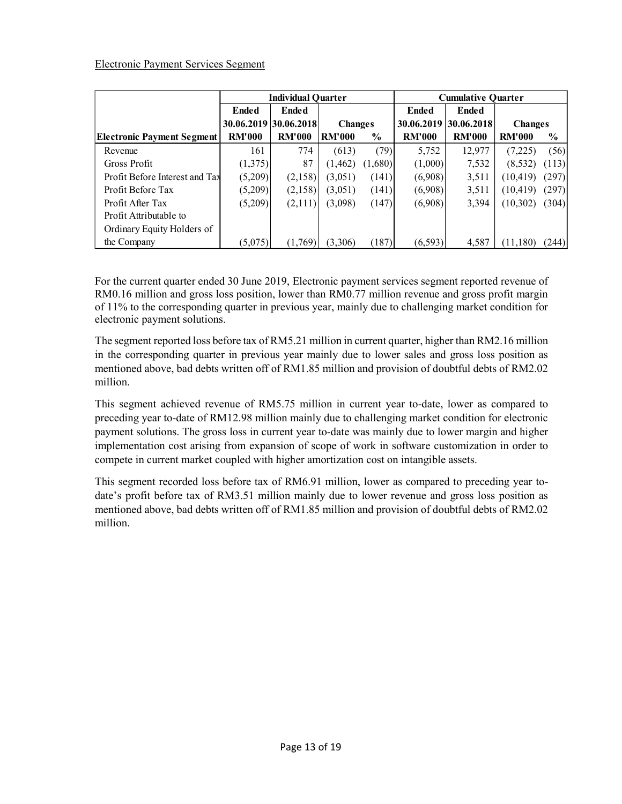### Electronic Payment Services Segment

|                                                                                         | <b>Ended</b>          | <b>Individual Quarter</b><br><b>Ended</b> |                     |               | <b>Ended</b>          | <b>Cumulative Quarter</b><br><b>Ended</b> |                     |               |
|-----------------------------------------------------------------------------------------|-----------------------|-------------------------------------------|---------------------|---------------|-----------------------|-------------------------------------------|---------------------|---------------|
|                                                                                         | 30.06.2019 30.06.2018 |                                           | <b>Changes</b>      |               | 30.06.2019 30.06.2018 |                                           | <b>Changes</b>      |               |
| <b>Electronic Payment Segment</b>                                                       | <b>RM'000</b>         | <b>RM'000</b>                             | <b>RM'000</b>       | $\frac{0}{0}$ | <b>RM'000</b>         | <b>RM'000</b>                             | <b>RM'000</b>       | $\frac{0}{0}$ |
| Revenue                                                                                 | 161                   | 774                                       | (613)               | (79)          | 5,752                 | 12,977                                    | (7,225)             | (56)          |
| <b>Gross Profit</b>                                                                     | (1,375)               | 87                                        | (1, 462)            | (1,680)       | (1,000)               | 7,532                                     | $(8,532)$ $(113)$   |               |
| Profit Before Interest and Tax                                                          | (5,209)               | (2,158)                                   | (3,051)             | (141)         | (6,908)               | 3,511                                     | $(10, 419)$ $(297)$ |               |
| Profit Before Tax                                                                       | (5,209)               | (2,158)                                   | (3,051)             | (141)         | (6,908)               | 3,511                                     | $(10, 419)$ $(297)$ |               |
| Profit After Tax                                                                        | (5,209)               | (2,111)                                   | (3,098)             | (147)         | (6,908)               | 3,394                                     | (10,302)            | (304)         |
| Profit Attributable to                                                                  |                       |                                           |                     |               |                       |                                           |                     |               |
| <b>Electronic Payment Services Segment</b><br>Ordinary Equity Holders of<br>the Company | (5,075)               |                                           | $(1,769)$ $(3,306)$ | (187)         | (6, 593)              | 4,587                                     | (11,180)            | (244)         |

For the current quarter ended 30 June 2019, Electronic payment services segment reported revenue of RM0.16 million and gross loss position, lower than RM0.77 million revenue and gross profit margin of 11% to the corresponding quarter in previous year, mainly due to challenging market condition for electronic payment solutions.

The segment reported loss before tax of RM5.21 million in current quarter, higher than RM2.16 million in the corresponding quarter in previous year mainly due to lower sales and gross loss position as mentioned above, bad debts written off of RM1.85 million and provision of doubtful debts of RM2.02 million.

This segment achieved revenue of RM5.75 million in current year to-date, lower as compared to preceding year to-date of RM12.98 million mainly due to challenging market condition for electronic payment solutions. The gross loss in current year to-date was mainly due to lower margin and higher implementation cost arising from expansion of scope of work in software customization in order to compete in current market coupled with higher amortization cost on intangible assets.

This segment recorded loss before tax of RM6.91 million, lower as compared to preceding year todate's profit before tax of RM3.51 million mainly due to lower revenue and gross loss position as mentioned above, bad debts written off of RM1.85 million and provision of doubtful debts of RM2.02 million.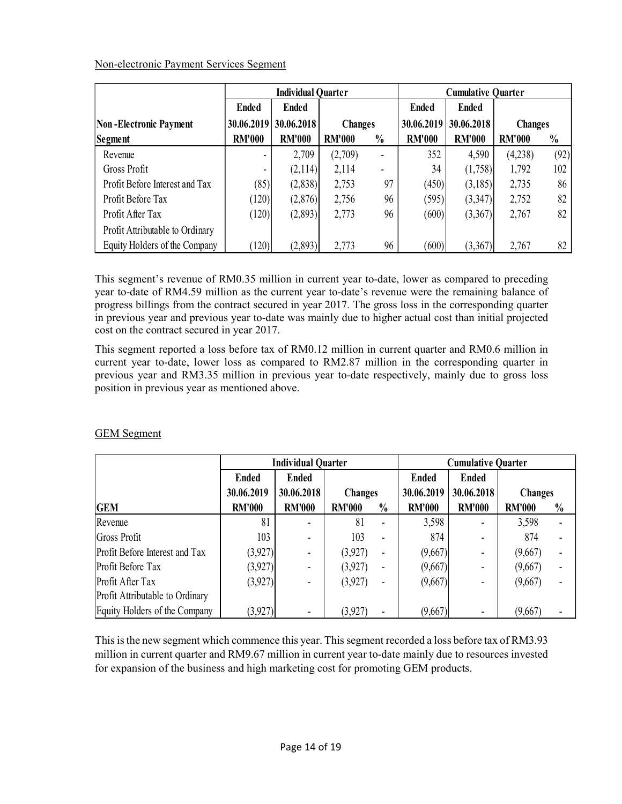| Non-electronic Payment Services Segment |                                           |                           |                  |                                 |                      |                           |                  |               |
|-----------------------------------------|-------------------------------------------|---------------------------|------------------|---------------------------------|----------------------|---------------------------|------------------|---------------|
|                                         |                                           |                           |                  |                                 |                      |                           |                  |               |
|                                         |                                           |                           |                  |                                 |                      |                           |                  |               |
|                                         |                                           | <b>Individual Quarter</b> |                  |                                 |                      | <b>Cumulative Quarter</b> |                  |               |
|                                         | <b>Ended</b>                              | <b>Ended</b>              |                  |                                 | <b>Ended</b>         | <b>Ended</b>              |                  |               |
| <b>Non-Electronic Payment</b>           | 30.06.2019                                | 30.06.2018                | <b>Changes</b>   |                                 | 30.06.2019           | 30.06.2018                | <b>Changes</b>   |               |
| <b>Segment</b><br>Revenue               | <b>RM'000</b><br>$\overline{\phantom{a}}$ | <b>RM'000</b>             | <b>RM'000</b>    | $\frac{0}{0}$<br>$\blacksquare$ | <b>RM'000</b><br>352 | <b>RM'000</b>             | <b>RM'000</b>    | $\frac{0}{0}$ |
| Gross Profit                            |                                           | 2,709<br>(2,114)          | (2,709)<br>2,114 | $\overline{\phantom{a}}$        | 34                   | 4,590                     | (4,238)<br>1,792 | 102           |
| Profit Before Interest and Tax          | (85)                                      | (2,838)                   | 2,753            | 97                              | (450)                | (1,758)                   | 2,735            | 86            |
| Profit Before Tax                       | (120)                                     | (2,876)                   | 2,756            | 96                              | (595)                | (3,185)                   | 2,752            | 82            |
| Profit After Tax                        | (120)                                     | (2,893)                   | 2,773            | 96                              | (600)                | (3,347)<br>(3,367)        | 2,767            | (92)<br>82    |
| Profit Attributable to Ordinary         |                                           |                           |                  |                                 |                      |                           |                  |               |

| <b>FIUILDEIOIE TAX</b>                                                                                                                                                                                                                                                                                                                                                                                                                                                  | (⊥∠∪ J        | (2,0/0)                   | 2,130          | 7V.            | U37J          | (3,347)                   | 2,132          | 04            |
|-------------------------------------------------------------------------------------------------------------------------------------------------------------------------------------------------------------------------------------------------------------------------------------------------------------------------------------------------------------------------------------------------------------------------------------------------------------------------|---------------|---------------------------|----------------|----------------|---------------|---------------------------|----------------|---------------|
| Profit After Tax                                                                                                                                                                                                                                                                                                                                                                                                                                                        | (120)         | (2,893)                   | 2,773          | 96             | (600)         | (3,367)                   | 2,767          | 82            |
| Profit Attributable to Ordinary                                                                                                                                                                                                                                                                                                                                                                                                                                         |               |                           |                |                |               |                           |                |               |
| Equity Holders of the Company                                                                                                                                                                                                                                                                                                                                                                                                                                           | (120)         | (2,893)                   | 2,773          | 96             | (600)         | (3,367)                   | 2,767          | 82            |
|                                                                                                                                                                                                                                                                                                                                                                                                                                                                         |               |                           |                |                |               |                           |                |               |
| This segment's revenue of RM0.35 million in current year to-date, lower as compared to preceding<br>year to-date of RM4.59 million as the current year to-date's revenue were the remaining balance of<br>progress billings from the contract secured in year 2017. The gross loss in the corresponding quarter<br>in previous year and previous year to-date was mainly due to higher actual cost than initial projected<br>cost on the contract secured in year 2017. |               |                           |                |                |               |                           |                |               |
| This segment reported a loss before tax of RM0.12 million in current quarter and RM0.6 million in<br>current year to-date, lower loss as compared to RM2.87 million in the corresponding quarter in                                                                                                                                                                                                                                                                     |               |                           |                |                |               |                           |                |               |
|                                                                                                                                                                                                                                                                                                                                                                                                                                                                         |               |                           |                |                |               |                           |                |               |
| previous year and RM3.35 million in previous year to-date respectively, mainly due to gross loss<br>position in previous year as mentioned above.<br><b>GEM</b> Segment                                                                                                                                                                                                                                                                                                 |               | <b>Individual Quarter</b> |                |                |               | <b>Cumulative Quarter</b> |                |               |
|                                                                                                                                                                                                                                                                                                                                                                                                                                                                         | <b>Ended</b>  | <b>Ended</b>              |                |                | <b>Ended</b>  | <b>Ended</b>              |                |               |
|                                                                                                                                                                                                                                                                                                                                                                                                                                                                         | 30.06.2019    | 30.06.2018                | <b>Changes</b> |                | 30.06.2019    | 30.06.2018                | <b>Changes</b> |               |
| <b>GEM</b>                                                                                                                                                                                                                                                                                                                                                                                                                                                              | <b>RM'000</b> | <b>RM'000</b>             | <b>RM'000</b>  | $\frac{0}{0}$  | <b>RM'000</b> | <b>RM'000</b>             | <b>RM'000</b>  | $\frac{0}{0}$ |
| Revenue                                                                                                                                                                                                                                                                                                                                                                                                                                                                 | 81            | $\blacksquare$            | 81             | $\blacksquare$ | 3,598         |                           | 3,598          |               |
| Gross Profit                                                                                                                                                                                                                                                                                                                                                                                                                                                            | 103           | $\blacksquare$            | 103            | $\blacksquare$ | 874           |                           | 874            |               |
| Profit Before Interest and Tax                                                                                                                                                                                                                                                                                                                                                                                                                                          | (3,927)       | $\blacksquare$            | (3,927)        | $\blacksquare$ | (9,667)       | $\blacksquare$            | (9,667)        |               |
| Profit Before Tax                                                                                                                                                                                                                                                                                                                                                                                                                                                       | (3,927)       | $\blacksquare$            | (3,927)        |                | (9,667)       | $\blacksquare$            | (9,667)        |               |
| Profit After Tax<br>Profit Attributable to Ordinary                                                                                                                                                                                                                                                                                                                                                                                                                     | (3,927)       | $\blacksquare$            | (3,927)        |                | (9,667)       | $\blacksquare$            | (9,667)        |               |

# GEM Segment

This is the new segment which commence this year. This segment recorded a loss before tax of RM3.93 million in current quarter and RM9.67 million in current year to-date mainly due to resources invested for expansion of the business and high marketing cost for promoting GEM products.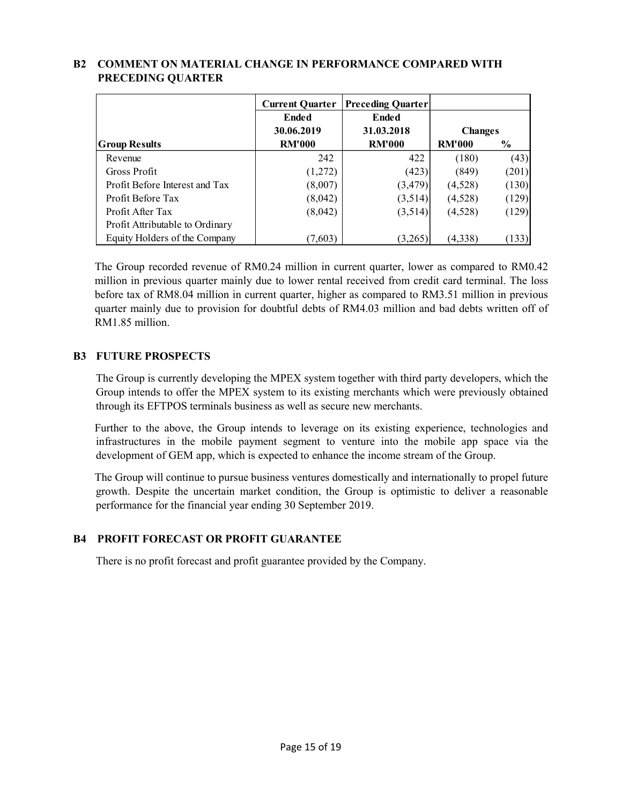| <b>COMMENT ON MATERIAL CHANGE IN PERFORMANCE COMPARED WITH</b>   |                        |                          |                  |                |
|------------------------------------------------------------------|------------------------|--------------------------|------------------|----------------|
| PRECEDING QUARTER                                                |                        |                          |                  |                |
|                                                                  |                        |                          |                  |                |
|                                                                  | <b>Current Quarter</b> | <b>Preceding Quarter</b> |                  |                |
|                                                                  |                        |                          |                  |                |
|                                                                  | <b>Ended</b>           | <b>Ended</b>             |                  |                |
|                                                                  | 30.06.2019             | 31.03.2018               | <b>Changes</b>   |                |
| <b>Group Results</b>                                             | <b>RM'000</b>          | <b>RM'000</b>            | <b>RM'000</b>    | $\frac{0}{0}$  |
| Revenue                                                          | 242                    | 422                      | (180)            |                |
| Gross Profit                                                     |                        |                          |                  | (43)           |
| Profit Before Interest and Tax                                   | (1,272)<br>(8,007)     | (423)<br>(3, 479)        | (849)<br>(4,528) | (201)<br>(130) |
| Profit Before Tax                                                | (8,042)                |                          | (4,528)          |                |
|                                                                  |                        | (3,514)                  |                  | (129)          |
| Profit After Tax                                                 | (8,042)                | (3,514)                  | (4,528)          | (129)          |
| Profit Attributable to Ordinary<br>Equity Holders of the Company | (7,603)                | (3,265)                  | (4,338)          | (133)          |

# B2 COMMENT ON MATERIAL CHANGE IN PERFORMANCE COMPARED WITH PRECEDING QUARTER

The Group recorded revenue of RM0.24 million in current quarter, lower as compared to RM0.42 million in previous quarter mainly due to lower rental received from credit card terminal. The loss before tax of RM8.04 million in current quarter, higher as compared to RM3.51 million in previous quarter mainly due to provision for doubtful debts of RM4.03 million and bad debts written off of RM1.85 million.

# B3 FUTURE PROSPECTS

 The Group is currently developing the MPEX system together with third party developers, which the Group intends to offer the MPEX system to its existing merchants which were previously obtained through its EFTPOS terminals business as well as secure new merchants.

Further to the above, the Group intends to leverage on its existing experience, technologies and infrastructures in the mobile payment segment to venture into the mobile app space via the development of GEM app, which is expected to enhance the income stream of the Group.

The Group will continue to pursue business ventures domestically and internationally to propel future growth. Despite the uncertain market condition, the Group is optimistic to deliver a reasonable performance for the financial year ending 30 September 2019.

# B4 PROFIT FORECAST OR PROFIT GUARANTEE

There is no profit forecast and profit guarantee provided by the Company.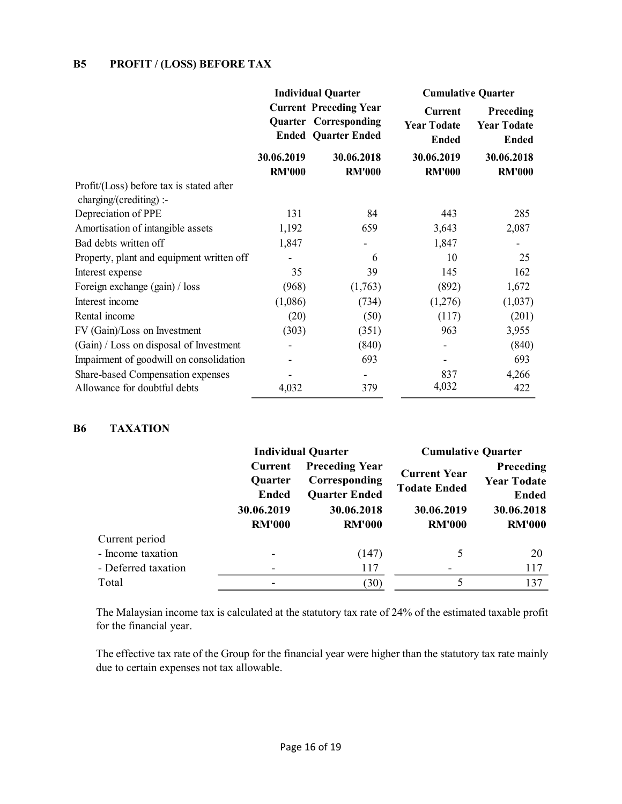# B5 PROFIT / (LOSS) BEFORE TAX

| <b>B5</b><br><b>PROFIT / (LOSS) BEFORE TAX</b>                      |                             |                                                                                                                          |                                                                            |                                                 |  |
|---------------------------------------------------------------------|-----------------------------|--------------------------------------------------------------------------------------------------------------------------|----------------------------------------------------------------------------|-------------------------------------------------|--|
|                                                                     |                             | <b>Individual Quarter</b><br><b>Current Preceding Year</b><br><b>Quarter Corresponding</b><br><b>Ended Quarter Ended</b> | <b>Cumulative Quarter</b><br>Current<br><b>Year Todate</b><br><b>Ended</b> | Preceding<br><b>Year Todate</b><br><b>Ended</b> |  |
|                                                                     | 30.06.2019<br><b>RM'000</b> | 30.06.2018<br><b>RM'000</b>                                                                                              | 30.06.2019<br><b>RM'000</b>                                                | 30.06.2018<br><b>RM'000</b>                     |  |
| Profit/(Loss) before tax is stated after<br>charging/(crediting) :- |                             |                                                                                                                          |                                                                            |                                                 |  |
| Depreciation of PPE                                                 | 131                         | 84                                                                                                                       | 443                                                                        | 285                                             |  |
| Amortisation of intangible assets                                   | 1,192                       | 659                                                                                                                      | 3,643                                                                      | 2,087                                           |  |
| Bad debts written off                                               | 1,847                       |                                                                                                                          | 1,847                                                                      | $\blacksquare$                                  |  |
| Property, plant and equipment written off                           |                             | 6                                                                                                                        | 10                                                                         | 25                                              |  |
| Interest expense                                                    | 35                          | 39                                                                                                                       | 145                                                                        | 162                                             |  |
| Foreign exchange (gain) / loss                                      | (968)                       | (1,763)                                                                                                                  | (892)                                                                      | 1,672                                           |  |
| Interest income                                                     | (1,086)                     | (734)                                                                                                                    | (1,276)                                                                    | (1,037)                                         |  |
| Rental income                                                       | (20)                        | (50)                                                                                                                     | (117)                                                                      | (201)                                           |  |
| FV (Gain)/Loss on Investment                                        | (303)                       | (351)                                                                                                                    | 963                                                                        | 3,955                                           |  |
| (Gain) / Loss on disposal of Investment                             |                             | (840)                                                                                                                    |                                                                            | (840)                                           |  |
| Impairment of goodwill on consolidation                             |                             | 693                                                                                                                      | $\overline{a}$                                                             | 693                                             |  |
| Share-based Compensation expenses                                   |                             |                                                                                                                          | 837                                                                        | 4,266                                           |  |
| Allowance for doubtful debts                                        | 4,032                       | 379                                                                                                                      | 4,032                                                                      | 422                                             |  |
| <b>B6</b><br><b>TAXATION</b>                                        |                             |                                                                                                                          |                                                                            |                                                 |  |
|                                                                     | <b>Individual Quarter</b>   |                                                                                                                          |                                                                            | <b>Cumulative Quarter</b>                       |  |
|                                                                     | <b>Current</b>              | <b>Preceding Year</b>                                                                                                    |                                                                            | Preceding                                       |  |
|                                                                     | Quarter                     | Corresponding                                                                                                            | <b>Current Year</b>                                                        | <b>Year Todate</b>                              |  |
|                                                                     | <b>Ended</b>                | <b>Quarter Ended</b>                                                                                                     | <b>Todate Ended</b>                                                        | <b>Ended</b>                                    |  |
|                                                                     | 30.06.2019                  | 30.06.2018                                                                                                               | 30.06.2019                                                                 | 30.06.2018                                      |  |
|                                                                     | <b>RM'000</b>               | <b>RM'000</b>                                                                                                            | <b>RM'000</b>                                                              | <b>RM'000</b>                                   |  |
| Current period                                                      |                             |                                                                                                                          |                                                                            |                                                 |  |
| - Income taxation                                                   |                             |                                                                                                                          |                                                                            | 20                                              |  |
|                                                                     |                             | (147)                                                                                                                    | $\mathfrak{S}$                                                             |                                                 |  |
| - Deferred taxation                                                 |                             | 117                                                                                                                      |                                                                            | 117                                             |  |

#### B6 TAXATION

| est expense                         | 35                                        | 39                                                             | 145                                        | 162                                             |
|-------------------------------------|-------------------------------------------|----------------------------------------------------------------|--------------------------------------------|-------------------------------------------------|
| ign exchange (gain) / loss          | (968)                                     | (1,763)                                                        | (892)                                      | 1,672                                           |
| est income                          | (1,086)                                   | (734)                                                          | (1,276)                                    | (1,037)                                         |
| al income                           | (20)                                      | (50)                                                           | (117)                                      | (201)                                           |
| Gain)/Loss on Investment            | (303)                                     | (351)                                                          | 963                                        | 3,955                                           |
| n) / Loss on disposal of Investment |                                           | (840)                                                          |                                            | (840)                                           |
| irment of goodwill on consolidation |                                           | 693                                                            |                                            | 693                                             |
| e-based Compensation expenses       |                                           |                                                                | 837                                        | 4,266                                           |
| wance for doubtful debts            | 4,032                                     | 379                                                            | 4,032                                      | 422                                             |
|                                     |                                           | <b>Individual Quarter</b>                                      | <b>Cumulative Quarter</b>                  |                                                 |
|                                     | Current<br><b>Quarter</b><br><b>Ended</b> | <b>Preceding Year</b><br>Corresponding<br><b>Quarter Ended</b> | <b>Current Year</b><br><b>Todate Ended</b> | Preceding<br><b>Year Todate</b><br><b>Ended</b> |
|                                     | 30.06.2019                                | 30.06.2018                                                     | 30.06.2019                                 | 30.06.2018                                      |
|                                     | <b>RM'000</b>                             | <b>RM'000</b>                                                  | <b>RM'000</b>                              | <b>RM'000</b>                                   |
| Current period                      |                                           |                                                                |                                            |                                                 |
| - Income taxation                   |                                           | (147)                                                          | 5                                          | 20                                              |
|                                     |                                           | 117                                                            |                                            | 117                                             |
| - Deferred taxation                 |                                           |                                                                |                                            |                                                 |

 The effective tax rate of the Group for the financial year were higher than the statutory tax rate mainly due to certain expenses not tax allowable.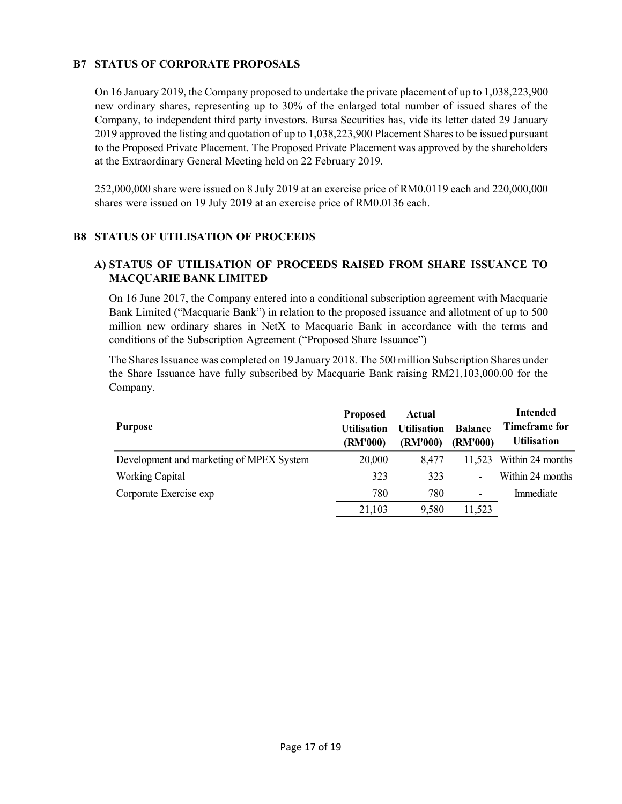# B7 STATUS OF CORPORATE PROPOSALS

On 16 January 2019, the Company proposed to undertake the private placement of up to 1,038,223,900 new ordinary shares, representing up to 30% of the enlarged total number of issued shares of the Company, to independent third party investors. Bursa Securities has, vide its letter dated 29 January 2019 approved the listing and quotation of up to 1,038,223,900 Placement Shares to be issued pursuant to the Proposed Private Placement. The Proposed Private Placement was approved by the shareholders at the Extraordinary General Meeting held on 22 February 2019.

252,000,000 share were issued on 8 July 2019 at an exercise price of RM0.0119 each and 220,000,000 shares were issued on 19 July 2019 at an exercise price of RM0.0136 each.

# B8 STATUS OF UTILISATION OF PROCEEDS

# A) STATUS OF UTILISATION OF PROCEEDS RAISED FROM SHARE ISSUANCE TO MACQUARIE BANK LIMITED

| res were issued on 19 July 2019 at an exercise price of RM0.0136 each.                                                                                                                                                                                                                              |                                                   |                                                 |                            |                                                               |
|-----------------------------------------------------------------------------------------------------------------------------------------------------------------------------------------------------------------------------------------------------------------------------------------------------|---------------------------------------------------|-------------------------------------------------|----------------------------|---------------------------------------------------------------|
| <b>ATUS OF UTILISATION OF PROCEEDS</b>                                                                                                                                                                                                                                                              |                                                   |                                                 |                            |                                                               |
| STATUS OF UTILISATION OF PROCEEDS RAISED FROM SHARE ISSUANCE TO<br><b>MACQUARIE BANK LIMITED</b>                                                                                                                                                                                                    |                                                   |                                                 |                            |                                                               |
| On 16 June 2017, the Company entered into a conditional subscription agreement with Macquarie<br>Bank Limited ("Macquarie Bank") in relation to the proposed issuance and allotment of up to 500<br>million new ordinary shares in NetX to Macquarie Bank in accordance with the terms and          |                                                   |                                                 |                            |                                                               |
|                                                                                                                                                                                                                                                                                                     |                                                   |                                                 |                            |                                                               |
|                                                                                                                                                                                                                                                                                                     |                                                   |                                                 |                            |                                                               |
| conditions of the Subscription Agreement ("Proposed Share Issuance")<br>The Shares Issuance was completed on 19 January 2018. The 500 million Subscription Shares under<br>the Share Issuance have fully subscribed by Macquarie Bank raising RM21,103,000.00 for the<br>Company.<br><b>Purpose</b> | <b>Proposed</b><br><b>Utilisation</b><br>(RM'000) | <b>Actual</b><br><b>Utilisation</b><br>(RM'000) | <b>Balance</b><br>(RM'000) | <b>Intended</b><br><b>Timeframe for</b><br><b>Utilisation</b> |
| Development and marketing of MPEX System                                                                                                                                                                                                                                                            | 20,000                                            | 8,477                                           | 11,523                     | Within 24 months                                              |
| <b>Working Capital</b>                                                                                                                                                                                                                                                                              | 323                                               | 323                                             |                            | Within 24 months                                              |
| Corporate Exercise exp                                                                                                                                                                                                                                                                              | 780                                               | 780                                             |                            | Immediate                                                     |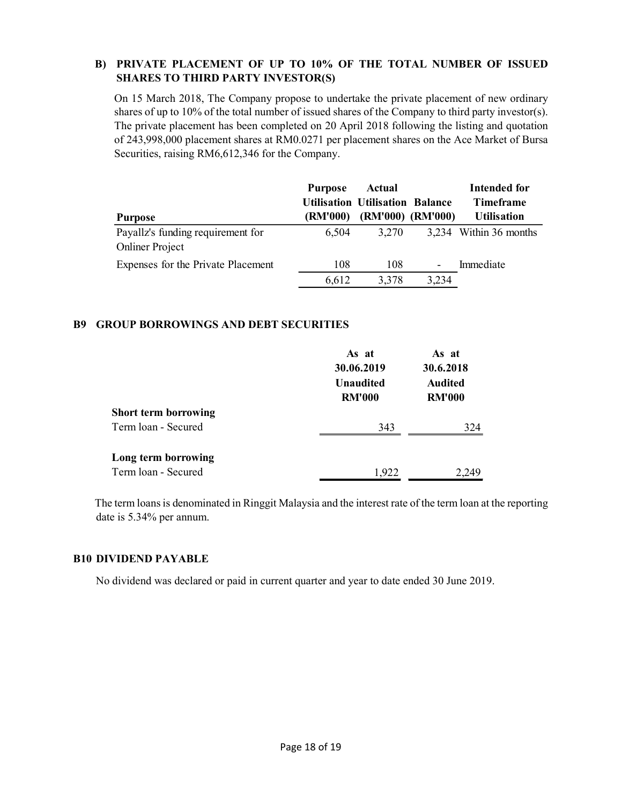# B) PRIVATE PLACEMENT OF UP TO 10% OF THE TOTAL NUMBER OF ISSUED SHARES TO THIRD PARTY INVESTOR(S)

| On 15 March 2018, The Company propose to undertake the private placement of new ordinary<br>shares of up to 10% of the total number of issued shares of the Company to third party investor(s).<br>The private placement has been completed on 20 April 2018 following the listing and quotation<br>of 243,998,000 placement shares at RM0.0271 per placement shares on the Ace Market of Bursa<br>Securities, raising RM6,612,346 for the Company. |                                                     |                                                                  |       |                        |
|-----------------------------------------------------------------------------------------------------------------------------------------------------------------------------------------------------------------------------------------------------------------------------------------------------------------------------------------------------------------------------------------------------------------------------------------------------|-----------------------------------------------------|------------------------------------------------------------------|-------|------------------------|
|                                                                                                                                                                                                                                                                                                                                                                                                                                                     |                                                     |                                                                  |       |                        |
|                                                                                                                                                                                                                                                                                                                                                                                                                                                     | <b>Purpose</b>                                      | <b>Actual</b>                                                    |       | <b>Intended for</b>    |
|                                                                                                                                                                                                                                                                                                                                                                                                                                                     | <b>Utilisation Utilisation Balance</b>              |                                                                  |       | <b>Timeframe</b>       |
|                                                                                                                                                                                                                                                                                                                                                                                                                                                     |                                                     |                                                                  |       | <b>Utilisation</b>     |
| <b>Onliner Project</b>                                                                                                                                                                                                                                                                                                                                                                                                                              |                                                     |                                                                  |       | 3,234 Within 36 months |
| Expenses for the Private Placement                                                                                                                                                                                                                                                                                                                                                                                                                  | 108                                                 | 108                                                              |       | Immediate              |
|                                                                                                                                                                                                                                                                                                                                                                                                                                                     | 6,612                                               | 3,378                                                            | 3,234 |                        |
|                                                                                                                                                                                                                                                                                                                                                                                                                                                     | <b>Purpose</b><br>Payallz's funding requirement for | (RM'000)<br>6,504<br><b>GROUP BORROWINGS AND DEBT SECURITIES</b> | 3,270 | (RM'000) (RM'000)      |

### B9 GROUP BORROWINGS AND DEBT SECURITIES

| <b>Purpose</b>                                              | (RM'000) |                                                          | (RM'000) (RM'000)                                     | <b>Utilisation</b>     |
|-------------------------------------------------------------|----------|----------------------------------------------------------|-------------------------------------------------------|------------------------|
| Payallz's funding requirement for<br><b>Onliner Project</b> | 6,504    | 3,270                                                    |                                                       | 3,234 Within 36 months |
| Expenses for the Private Placement                          | 108      | 108                                                      |                                                       | Immediate              |
|                                                             | 6,612    | 3,378                                                    | 3,234                                                 |                        |
| <b>ROUP BORROWINGS AND DEBT SECURITIES</b>                  |          |                                                          |                                                       |                        |
|                                                             |          | As at<br>30.06.2019<br><b>Unaudited</b><br><b>RM'000</b> | As at<br>30.6.2018<br><b>Audited</b><br><b>RM'000</b> |                        |
| <b>Short term borrowing</b>                                 |          |                                                          |                                                       |                        |
| Term loan - Secured                                         |          | 343                                                      |                                                       | 324                    |
|                                                             |          |                                                          |                                                       |                        |
| Long term borrowing                                         |          |                                                          |                                                       |                        |

# B10 DIVIDEND PAYABLE

No dividend was declared or paid in current quarter and year to date ended 30 June 2019.